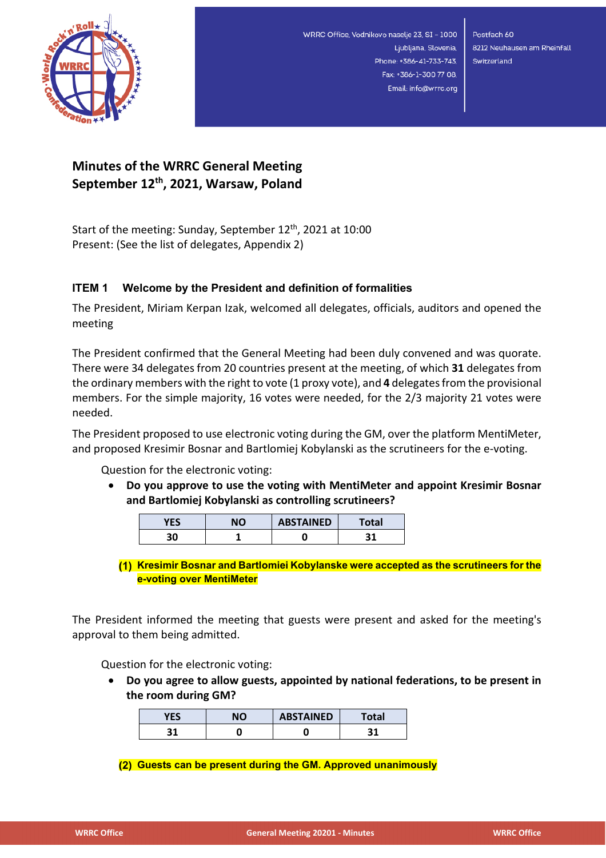

Postfach 60 8212 Neuhausen am Rheinfall Switzerland

### **Minutes of the WRRC General Meeting September 12th, 2021, Warsaw, Poland**

Start of the meeting: Sunday, September 12<sup>th</sup>, 2021 at 10:00 Present: (See the list of delegates, Appendix 2)

#### **ITEM 1 Welcome by the President and definition of formalities**

The President, Miriam Kerpan Izak, welcomed all delegates, officials, auditors and opened the meeting

The President confirmed that the General Meeting had been duly convened and was quorate. There were 34 delegates from 20 countries present at the meeting, of which **31** delegates from the ordinary members with the right to vote (1 proxy vote), and **4** delegates from the provisional members. For the simple majority, 16 votes were needed, for the 2/3 majority 21 votes were needed.

The President proposed to use electronic voting during the GM, over the platform MentiMeter, and proposed Kresimir Bosnar and Bartlomiej Kobylanski as the scrutineers for the e-voting.

Question for the electronic voting:

• **Do you approve to use the voting with MentiMeter and appoint Kresimir Bosnar and Bartlomiej Kobylanski as controlling scrutineers?**

| VFC | הוא | <b>ABSTAINED</b> | 'otal |
|-----|-----|------------------|-------|
| 30  |     |                  |       |

**Kresimir Bosnar and Bartlomiei Kobylanske were accepted as the scrutineers for the e-voting over MentiMeter**

The President informed the meeting that guests were present and asked for the meeting's approval to them being admitted.

Question for the electronic voting:

• **Do you agree to allow guests, appointed by national federations, to be present in the room during GM?**

| VEC | NΟ | <b>ABSTAINED</b> | Total |
|-----|----|------------------|-------|
| 21  |    |                  |       |

**Guests can be present during the GM. Approved unanimously**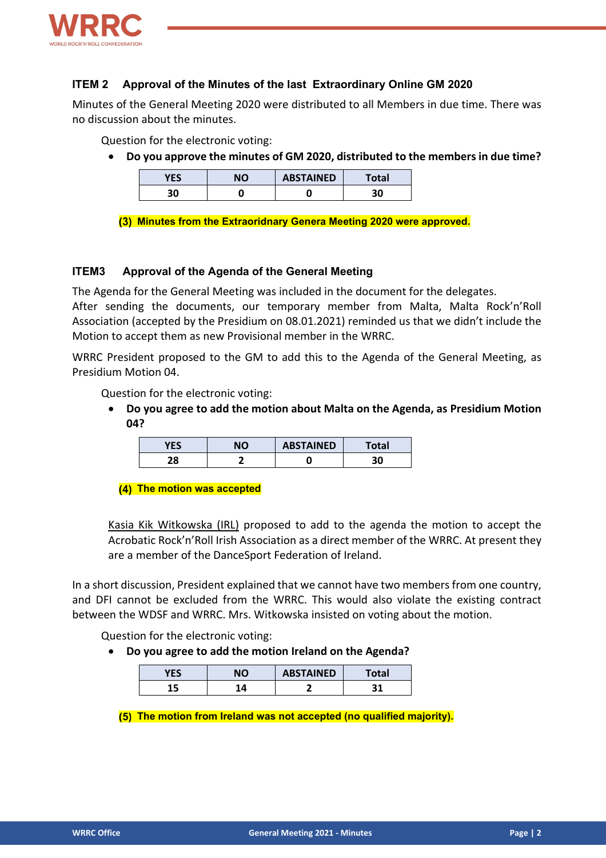

#### **ITEM 2 Approval of the Minutes of the last Extraordinary Online GM 2020**

Minutes of the General Meeting 2020 were distributed to all Members in due time. There was no discussion about the minutes.

Question for the electronic voting:

• **Do you approve the minutes of GM 2020, distributed to the members in due time?**

| VFC | NΟ | <b>ABSTAINED</b> | <b>Total</b> |
|-----|----|------------------|--------------|
| 30  |    | u                | 30           |

**Minutes from the Extraoridnary Genera Meeting 2020 were approved.**

#### **ITEM3 Approval of the Agenda of the General Meeting**

The Agenda for the General Meeting was included in the document for the delegates.

After sending the documents, our temporary member from Malta, Malta Rock'n'Roll Association (accepted by the Presidium on 08.01.2021) reminded us that we didn't include the Motion to accept them as new Provisional member in the WRRC.

WRRC President proposed to the GM to add this to the Agenda of the General Meeting, as Presidium Motion 04.

Question for the electronic voting:

• **Do you agree to add the motion about Malta on the Agenda, as Presidium Motion 04?**

| VEC | NΟ | <b>ABSTAINED</b> | Total |
|-----|----|------------------|-------|
| סר  |    |                  | 30    |

**(4) The motion was accepted** 

Kasia Kik Witkowska (IRL) proposed to add to the agenda the motion to accept the Acrobatic Rock'n'Roll Irish Association as a direct member of the WRRC. At present they are a member of the DanceSport Federation of Ireland.

In a short discussion, President explained that we cannot have two members from one country, and DFI cannot be excluded from the WRRC. This would also violate the existing contract between the WDSF and WRRC. Mrs. Witkowska insisted on voting about the motion.

Question for the electronic voting:

• **Do you agree to add the motion Ireland on the Agenda?**

| <b>VEC</b> | NО | <b>ABSTAINED</b> | <b>Total</b> |
|------------|----|------------------|--------------|
|            | л  |                  |              |

**The motion from Ireland was not accepted (no qualified majority).**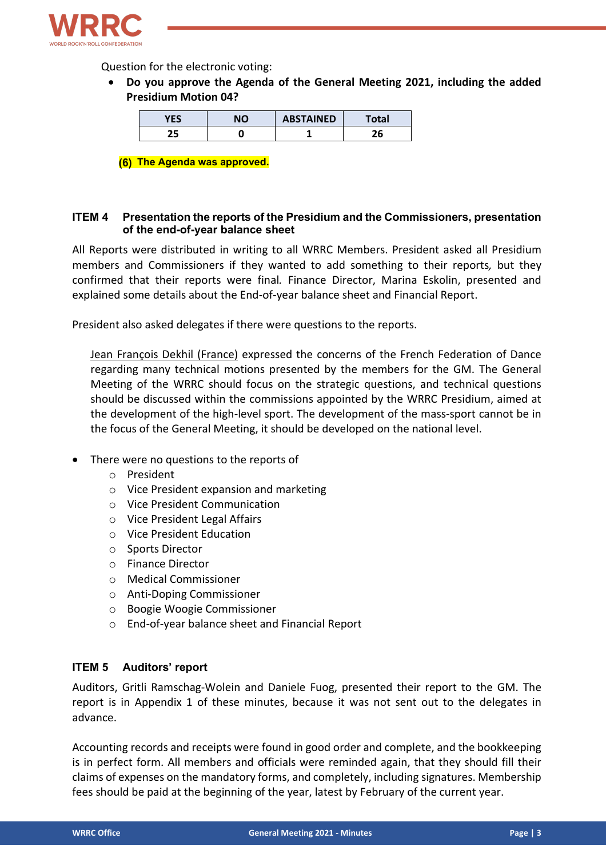

Question for the electronic voting:

• **Do you approve the Agenda of the General Meeting 2021, including the added Presidium Motion 04?**

| YES | NΟ | <b>ABSTAINED</b> | Total |
|-----|----|------------------|-------|
| חר  |    |                  |       |

**The Agenda was approved.**

#### **ITEM 4 Presentation the reports of the Presidium and the Commissioners, presentation of the end-of-year balance sheet**

All Reports were distributed in writing to all WRRC Members. President asked all Presidium members and Commissioners if they wanted to add something to their reports*,* but they confirmed that their reports were final*.* Finance Director, Marina Eskolin, presented and explained some details about the End-of-year balance sheet and Financial Report.

President also asked delegates if there were questions to the reports.

Jean François Dekhil (France) expressed the concerns of the French Federation of Dance regarding many technical motions presented by the members for the GM. The General Meeting of the WRRC should focus on the strategic questions, and technical questions should be discussed within the commissions appointed by the WRRC Presidium, aimed at the development of the high-level sport. The development of the mass-sport cannot be in the focus of the General Meeting, it should be developed on the national level.

- There were no questions to the reports of
	- o President
	- o Vice President expansion and marketing
	- o Vice President Communication
	- o Vice President Legal Affairs
	- o Vice President Education
	- o Sports Director
	- o Finance Director
	- o Medical Commissioner
	- o Anti-Doping Commissioner
	- o Boogie Woogie Commissioner
	- o End-of-year balance sheet and Financial Report

#### **ITEM 5 Auditors' report**

Auditors, Gritli Ramschag-Wolein and Daniele Fuog, presented their report to the GM. The report is in Appendix 1 of these minutes, because it was not sent out to the delegates in advance.

Accounting records and receipts were found in good order and complete, and the bookkeeping is in perfect form. All members and officials were reminded again, that they should fill their claims of expenses on the mandatory forms, and completely, including signatures. Membership fees should be paid at the beginning of the year, latest by February of the current year.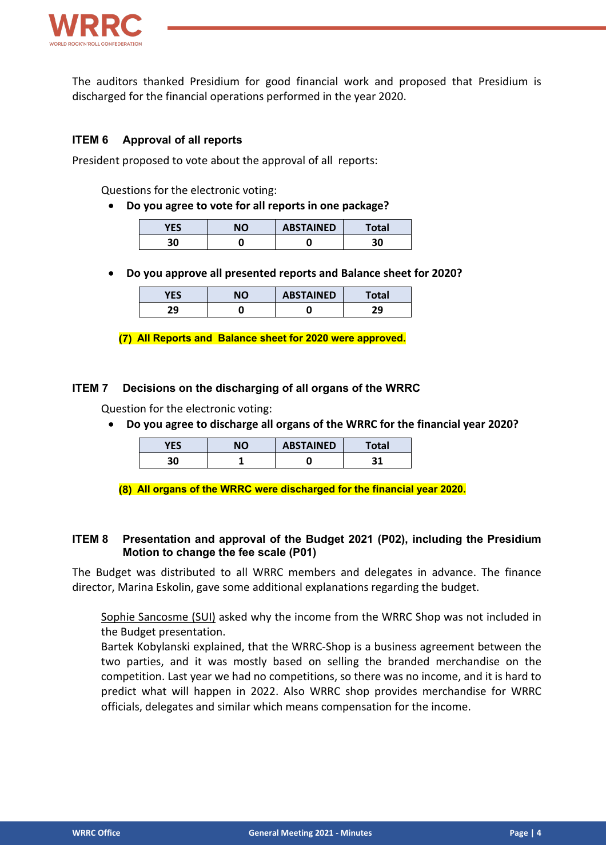

The auditors thanked Presidium for good financial work and proposed that Presidium is discharged for the financial operations performed in the year 2020.

#### **ITEM 6 Approval of all reports**

President proposed to vote about the approval of all reports:

Questions for the electronic voting:

• **Do you agree to vote for all reports in one package?**

| ucc<br>r ES | NΟ | <b>ABSTAINED</b> | <b>Total</b> |
|-------------|----|------------------|--------------|
| 30          |    |                  | הר           |

• **Do you approve all presented reports and Balance sheet for 2020?**

| <b>VEC</b><br>1 E.S. | ΝO | <b>ABSTAINED</b> | Total     |
|----------------------|----|------------------|-----------|
| 29                   |    |                  | วก<br>- 3 |

**All Reports and Balance sheet for 2020 were approved.**

#### **ITEM 7 Decisions on the discharging of all organs of the WRRC**

Question for the electronic voting:

• **Do you agree to discharge all organs of the WRRC for the financial year 2020?**

| YES | ΝO | <b>ABSTAINED</b> | Total |
|-----|----|------------------|-------|
| 30  |    |                  |       |

**All organs of the WRRC were discharged for the financial year 2020.**

#### **ITEM 8 Presentation and approval of the Budget 2021 (P02), including the Presidium Motion to change the fee scale (P01)**

The Budget was distributed to all WRRC members and delegates in advance. The finance director, Marina Eskolin, gave some additional explanations regarding the budget.

Sophie Sancosme (SUI) asked why the income from the WRRC Shop was not included in the Budget presentation.

Bartek Kobylanski explained, that the WRRC-Shop is a business agreement between the two parties, and it was mostly based on selling the branded merchandise on the competition. Last year we had no competitions, so there was no income, and it is hard to predict what will happen in 2022. Also WRRC shop provides merchandise for WRRC officials, delegates and similar which means compensation for the income.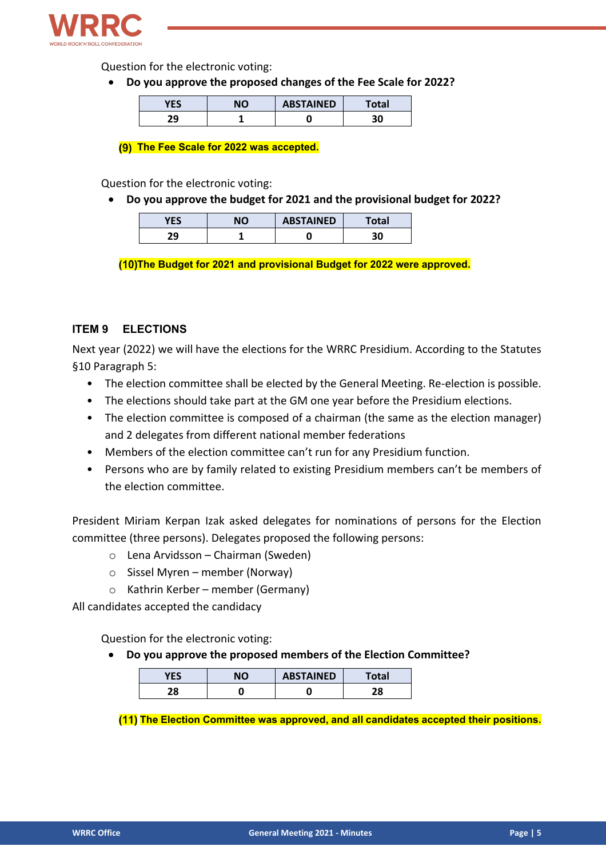

Question for the electronic voting:

• **Do you approve the proposed changes of the Fee Scale for 2022?**

| VFC | NΟ | <b>ABSTAINED</b> | <b>Total</b> |
|-----|----|------------------|--------------|
| วด  |    |                  | 30           |

**The Fee Scale for 2022 was accepted.**

Question for the electronic voting:

• **Do you approve the budget for 2021 and the provisional budget for 2022?**

| VFC | ΝO | <b>ABSTAINED</b> | Гоtal |
|-----|----|------------------|-------|
| 29  |    |                  |       |

**The Budget for 2021 and provisional Budget for 2022 were approved.**

#### **ITEM 9 ELECTIONS**

Next year (2022) we will have the elections for the WRRC Presidium. According to the Statutes §10 Paragraph 5:

- The election committee shall be elected by the General Meeting. Re-election is possible.
- The elections should take part at the GM one year before the Presidium elections.
- The election committee is composed of a chairman (the same as the election manager) and 2 delegates from different national member federations
- Members of the election committee can't run for any Presidium function.
- Persons who are by family related to existing Presidium members can't be members of the election committee.

President Miriam Kerpan Izak asked delegates for nominations of persons for the Election committee (three persons). Delegates proposed the following persons:

- o Lena Arvidsson Chairman (Sweden)
- $\circ$  Sissel Myren member (Norway)
- o Kathrin Kerber member (Germany)

All candidates accepted the candidacy

Question for the electronic voting:

• **Do you approve the proposed members of the Election Committee?**

| <b>VEC</b><br>I LJ | הוח | <b>ABSTAINED</b> | 'otal |
|--------------------|-----|------------------|-------|
| 00                 |     |                  | ה ר   |

**The Election Committee was approved, and all candidates accepted their positions.**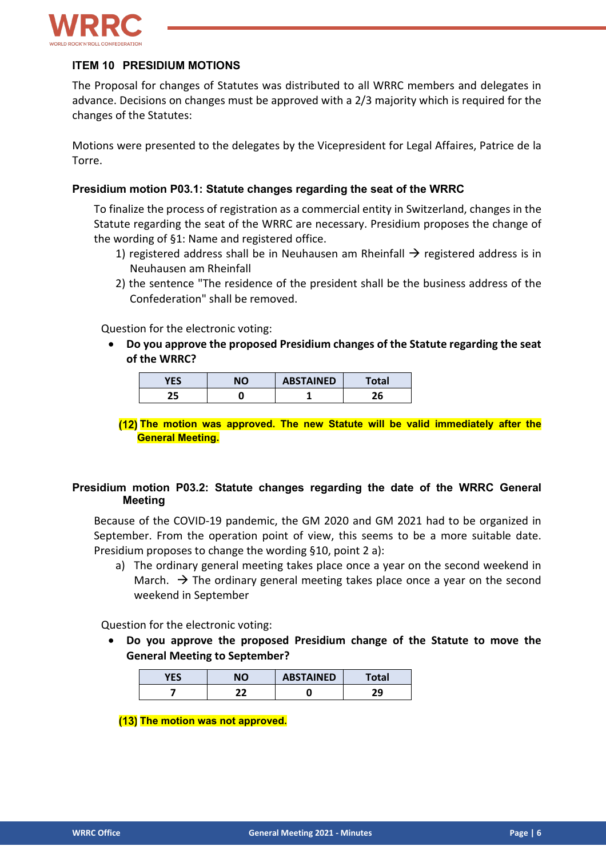

#### **ITEM 10 PRESIDIUM MOTIONS**

The Proposal for changes of Statutes was distributed to all WRRC members and delegates in advance. Decisions on changes must be approved with a 2/3 majority which is required for the changes of the Statutes:

Motions were presented to the delegates by the Vicepresident for Legal Affaires, Patrice de la Torre.

#### **Presidium motion P03.1: Statute changes regarding the seat of the WRRC**

To finalize the process of registration as a commercial entity in Switzerland, changes in the Statute regarding the seat of the WRRC are necessary. Presidium proposes the change of the wording of §1: Name and registered office.

- 1) registered address shall be in Neuhausen am Rheinfall  $\rightarrow$  registered address is in Neuhausen am Rheinfall
- 2) the sentence "The residence of the president shall be the business address of the Confederation" shall be removed.

Question for the electronic voting:

• **Do you approve the proposed Presidium changes of the Statute regarding the seat of the WRRC?**

| VFC | הוג | <b>ABSTAINED</b> | iotal   |
|-----|-----|------------------|---------|
| . г |     |                  | י<br>20 |

**The motion was approved. The new Statute will be valid immediately after the General Meeting.**

#### **Presidium motion P03.2: Statute changes regarding the date of the WRRC General Meeting**

Because of the COVID-19 pandemic, the GM 2020 and GM 2021 had to be organized in September. From the operation point of view, this seems to be a more suitable date. Presidium proposes to change the wording §10, point 2 a):

a) The ordinary general meeting takes place once a year on the second weekend in March.  $\rightarrow$  The ordinary general meeting takes place once a year on the second weekend in September

Question for the electronic voting:

• **Do you approve the proposed Presidium change of the Statute to move the General Meeting to September?**

| YES | NΟ | <b>ABSTAINED</b> | Total |
|-----|----|------------------|-------|
|     | າາ | . .              | าก    |

**(13) The motion was not approved.**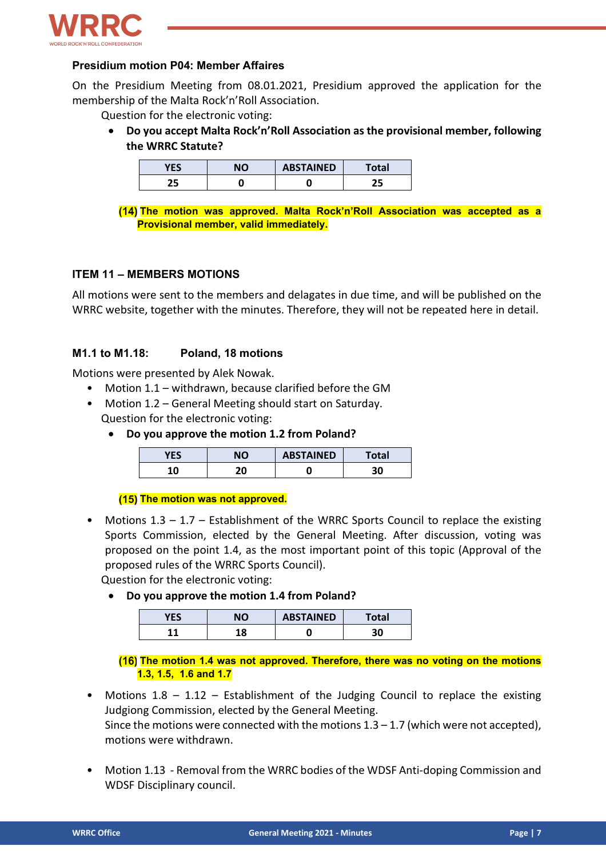

#### **Presidium motion P04: Member Affaires**

On the Presidium Meeting from 08.01.2021, Presidium approved the application for the membership of the Malta Rock'n'Roll Association.

Question for the electronic voting:

• **Do you accept Malta Rock'n'Roll Association as the provisional member, following the WRRC Statute?**

| VFC | <b>NO</b> | <b>ABSTAINED</b> | <b>Total</b> |
|-----|-----------|------------------|--------------|
| 25  |           | ш.               | ر ے          |

**The motion was approved. Malta Rock'n'Roll Association was accepted as a Provisional member, valid immediately.**

#### **ITEM 11 – MEMBERS MOTIONS**

All motions were sent to the members and delagates in due time, and will be published on the WRRC website, together with the minutes. Therefore, they will not be repeated here in detail.

#### **M1.1 to M1.18: Poland, 18 motions**

Motions were presented by Alek Nowak.

- Motion 1.1 withdrawn, because clarified before the GM
- Motion 1.2 General Meeting should start on Saturday. Question for the electronic voting:
	- **Do you approve the motion 1.2 from Poland?**

| VEC | חוח | <b>ABSTAINED</b> | Total |
|-----|-----|------------------|-------|
| 1 N | הר  |                  | 30    |

#### **(15) The motion was not approved.**

Motions  $1.3 - 1.7$  – Establishment of the WRRC Sports Council to replace the existing Sports Commission, elected by the General Meeting. After discussion, voting was proposed on the point 1.4, as the most important point of this topic (Approval of the proposed rules of the WRRC Sports Council).

Question for the electronic voting:

• **Do you approve the motion 1.4 from Poland?**

| <b>YES</b> |     | <b>ABSTAINED</b> | 'otal |
|------------|-----|------------------|-------|
| 44         | 0 ו |                  | 30    |

**The motion 1.4 was not approved. Therefore, there was no voting on the motions 1.3, 1.5, 1.6 and 1.7**

- Motions  $1.8 1.12$  Establishment of the Judging Council to replace the existing Judgiong Commission, elected by the General Meeting. Since the motions were connected with the motions  $1.3 - 1.7$  (which were not accepted), motions were withdrawn.
- Motion 1.13 Removal from the WRRC bodies of the WDSF Anti-doping Commission and WDSF Disciplinary council.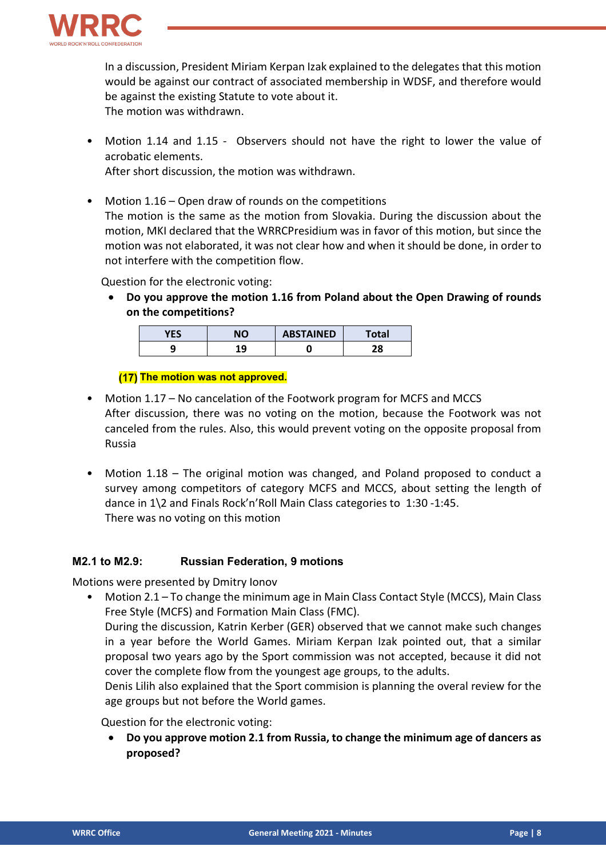

In a discussion, President Miriam Kerpan Izak explained to the delegates that this motion would be against our contract of associated membership in WDSF, and therefore would be against the existing Statute to vote about it. The motion was withdrawn.

- Motion 1.14 and 1.15 Observers should not have the right to lower the value of acrobatic elements.
	- After short discussion, the motion was withdrawn.
- Motion 1.16 Open draw of rounds on the competitions The motion is the same as the motion from Slovakia. During the discussion about the motion, MKI declared that the WRRCPresidium was in favor of this motion, but since the motion was not elaborated, it was not clear how and when it should be done, in order to not interfere with the competition flow.

Question for the electronic voting:

• **Do you approve the motion 1.16 from Poland about the Open Drawing of rounds on the competitions?**

| <b>VEC</b> | <b>NO</b>  | <b>ABSTAINED</b> | Total |
|------------|------------|------------------|-------|
| ٠          | <u>. n</u> |                  | 0 ר   |

#### **(17) The motion was not approved.**

- Motion 1.17 No cancelation of the Footwork program for MCFS and MCCS After discussion, there was no voting on the motion, because the Footwork was not canceled from the rules. Also, this would prevent voting on the opposite proposal from Russia
- Motion 1.18 The original motion was changed, and Poland proposed to conduct a survey among competitors of category MCFS and MCCS, about setting the length of dance in 1\2 and Finals Rock'n'Roll Main Class categories to 1:30 -1:45. There was no voting on this motion

#### **M2.1 to M2.9: Russian Federation, 9 motions**

Motions were presented by Dmitry Ionov

• Motion 2.1 – To change the minimum age in Main Class Contact Style (MCCS), Main Class Free Style (MCFS) and Formation Main Class (FMC).

During the discussion, Katrin Kerber (GER) observed that we cannot make such changes in a year before the World Games. Miriam Kerpan Izak pointed out, that a similar proposal two years ago by the Sport commission was not accepted, because it did not cover the complete flow from the youngest age groups, to the adults.

Denis Lilih also explained that the Sport commision is planning the overal review for the age groups but not before the World games.

Question for the electronic voting:

• **Do you approve motion 2.1 from Russia, to change the minimum age of dancers as proposed?**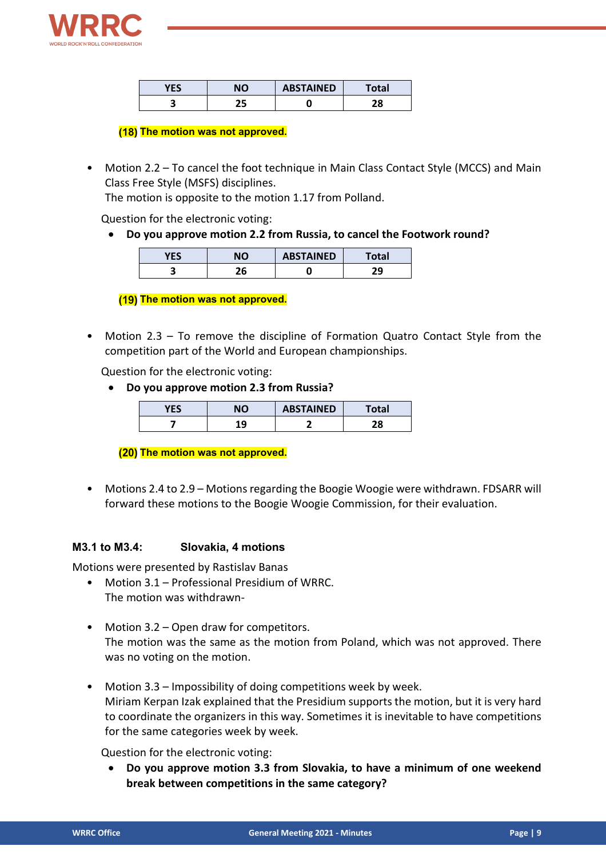

| VFC | NΟ | <b>ABSTAINED</b> | Total |
|-----|----|------------------|-------|
|     | ÷Г |                  | 70    |
| ت   | כ  |                  | 40    |

#### **(18) The motion was not approved.**

• Motion 2.2 – To cancel the foot technique in Main Class Contact Style (MCCS) and Main Class Free Style (MSFS) disciplines.

The motion is opposite to the motion 1.17 from Polland.

Question for the electronic voting:

• **Do you approve motion 2.2 from Russia, to cancel the Footwork round?**

| YES | NO | <b>ABSTAINED</b> | 'otal    |
|-----|----|------------------|----------|
|     | -0 |                  | 20<br>23 |

**(19) The motion was not approved.** 

• Motion 2.3 – To remove the discipline of Formation Quatro Contact Style from the competition part of the World and European championships.

Question for the electronic voting:

• **Do you approve motion 2.3 from Russia?**

| VFC<br>в | NО         | <b>ABSTAINED</b> | <b>Total</b> |
|----------|------------|------------------|--------------|
|          | 1 Q<br>. . |                  | ว๐           |

**(20) The motion was not approved.** 

• Motions 2.4 to 2.9 – Motions regarding the Boogie Woogie were withdrawn. FDSARR will forward these motions to the Boogie Woogie Commission, for their evaluation.

#### **M3.1 to M3.4: Slovakia, 4 motions**

Motions were presented by Rastislav Banas

- Motion 3.1 Professional Presidium of WRRC. The motion was withdrawn-
- Motion 3.2 Open draw for competitors. The motion was the same as the motion from Poland, which was not approved. There was no voting on the motion.
- Motion 3.3 Impossibility of doing competitions week by week. Miriam Kerpan Izak explained that the Presidium supports the motion, but it is very hard to coordinate the organizers in this way. Sometimes it is inevitable to have competitions for the same categories week by week.

Question for the electronic voting:

• **Do you approve motion 3.3 from Slovakia, to have a minimum of one weekend break between competitions in the same category?**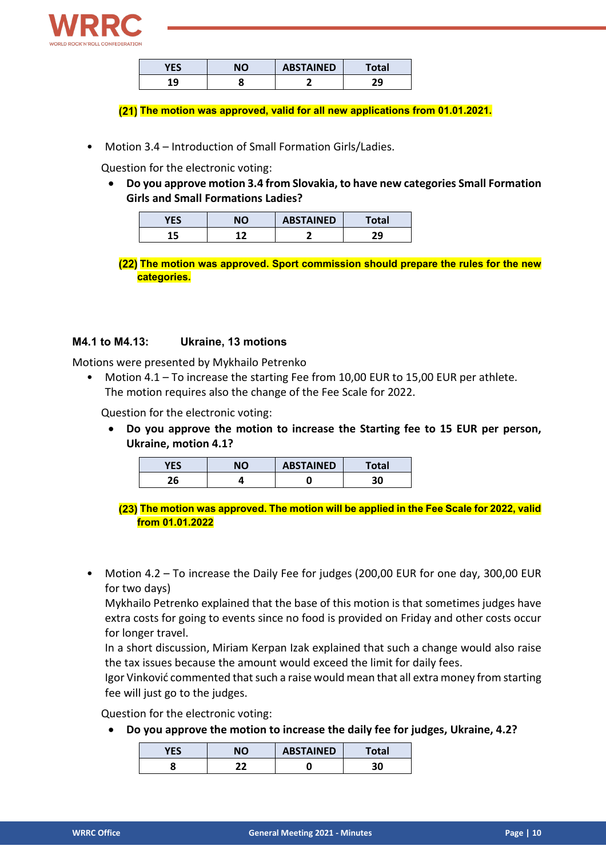

| VEC<br>כם | חו | <b>ABSTAINED</b> | Total |
|-----------|----|------------------|-------|
| ι۵<br>- - |    |                  | าก    |

**The motion was approved, valid for all new applications from 01.01.2021.**

• Motion 3.4 – Introduction of Small Formation Girls/Ladies.

Question for the electronic voting:

• **Do you approve motion 3.4 from Slovakia, to have new categories Small Formation Girls and Small Formations Ladies?**

| <u>.</u> | NΟ | <b>ABSTAINED</b> | 'otal    |
|----------|----|------------------|----------|
|          |    |                  | วก<br>23 |

**The motion was approved. Sport commission should prepare the rules for the new categories.**

#### **M4.1 to M4.13: Ukraine, 13 motions**

Motions were presented by Mykhailo Petrenko

• Motion 4.1 – To increase the starting Fee from 10,00 EUR to 15,00 EUR per athlete. The motion requires also the change of the Fee Scale for 2022.

Question for the electronic voting:

• **Do you approve the motion to increase the Starting fee to 15 EUR per person, Ukraine, motion 4.1?**

| VFC<br>-- | <b>NO</b> | <b>ABSTAINED</b> | Total |
|-----------|-----------|------------------|-------|
| 26        |           |                  | 30    |

**The motion was approved. The motion will be applied in the Fee Scale for 2022, valid from 01.01.2022**

• Motion 4.2 – To increase the Daily Fee for judges (200,00 EUR for one day, 300,00 EUR for two days)

Mykhailo Petrenko explained that the base of this motion is that sometimes judges have extra costs for going to events since no food is provided on Friday and other costs occur for longer travel.

In a short discussion, Miriam Kerpan Izak explained that such a change would also raise the tax issues because the amount would exceed the limit for daily fees.

Igor Vinković commented that such a raise would mean that all extra money from starting fee will just go to the judges.

Question for the electronic voting:

• **Do you approve the motion to increase the daily fee for judges, Ukraine, 4.2?**

| VFC | הוח | <b>ABSTAINED</b> | <b>Total</b> |
|-----|-----|------------------|--------------|
| ш   | ∽   |                  | 30           |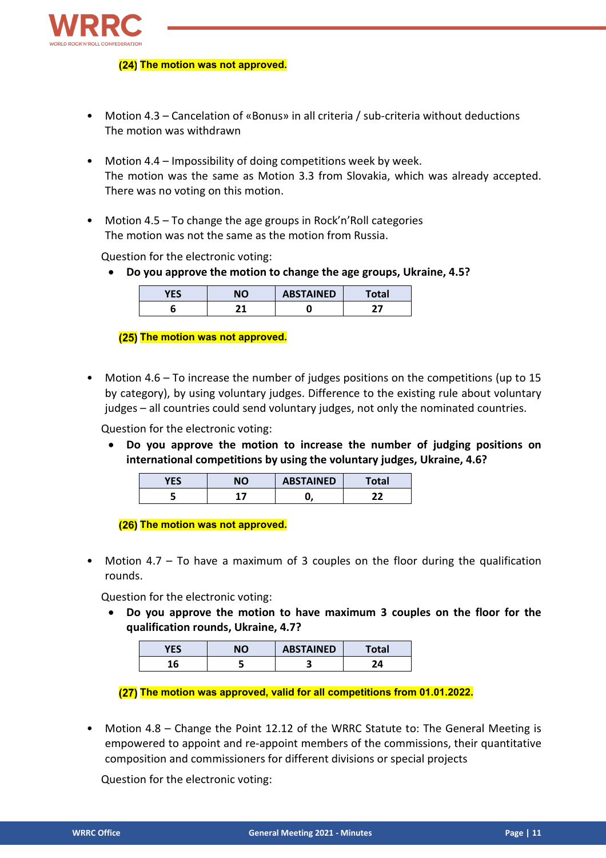

#### **(24) The motion was not approved.**

- Motion 4.3 Cancelation of «Bonus» in all criteria / sub-criteria without deductions The motion was withdrawn
- Motion 4.4 Impossibility of doing competitions week by week. The motion was the same as Motion 3.3 from Slovakia, which was already accepted. There was no voting on this motion.
- Motion 4.5 To change the age groups in Rock'n' Roll categories The motion was not the same as the motion from Russia.

Question for the electronic voting:

• **Do you approve the motion to change the age groups, Ukraine, 4.5?**

| YES | NΟ | <b>ABSTAINED</b> | Total |
|-----|----|------------------|-------|
| u   |    |                  |       |

**(25) The motion was not approved.** 

• Motion 4.6 – To increase the number of judges positions on the competitions (up to 15 by category), by using voluntary judges. Difference to the existing rule about voluntary judges – all countries could send voluntary judges, not only the nominated countries.

Question for the electronic voting:

• **Do you approve the motion to increase the number of judging positions on international competitions by using the voluntary judges, Ukraine, 4.6?**

| VFC | $\overline{M}$ | <b>ABSTAINED</b> | <b>Total</b> |
|-----|----------------|------------------|--------------|
|     |                |                  |              |

**(26) The motion was not approved.** 

• Motion 4.7 – To have a maximum of 3 couples on the floor during the qualification rounds.

Question for the electronic voting:

• **Do you approve the motion to have maximum 3 couples on the floor for the qualification rounds, Ukraine, 4.7?**

| $\mathbf{r}$<br>כם |     | <b>ABSTAINED</b> | otal |
|--------------------|-----|------------------|------|
| w                  | . . |                  |      |

**The motion was approved, valid for all competitions from 01.01.2022.**

• Motion 4.8 – Change the Point 12.12 of the WRRC Statute to: The General Meeting is empowered to appoint and re-appoint members of the commissions, their quantitative composition and commissioners for different divisions or special projects

Question for the electronic voting: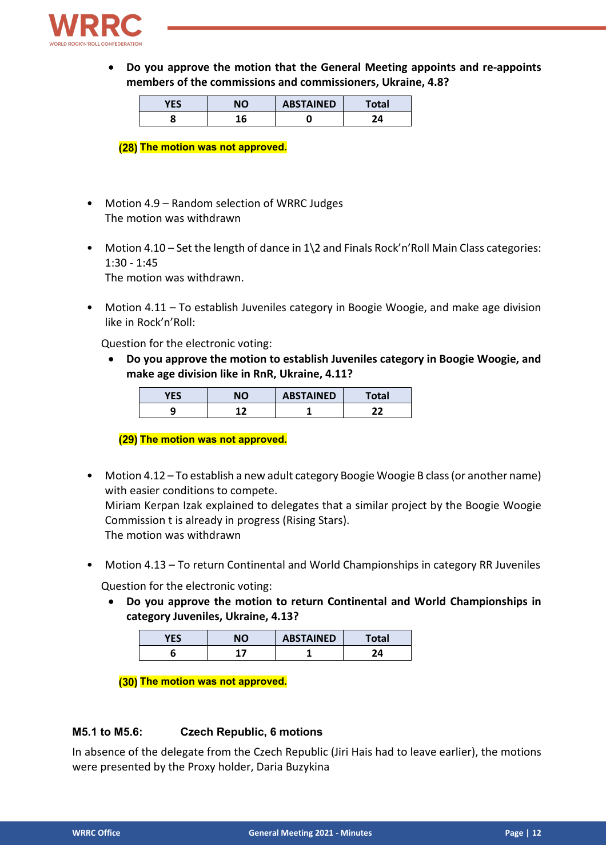

• **Do you approve the motion that the General Meeting appoints and re-appoints members of the commissions and commissioners, Ukraine, 4.8?**

| T<br>ľЬ | ١ſ | <b>ABSTAINED</b> | otal |
|---------|----|------------------|------|
|         |    |                  |      |

**(28) The motion was not approved.** 

- Motion 4.9 Random selection of WRRC Judges The motion was withdrawn
- Motion 4.10 Set the length of dance in 1\2 and Finals Rock'n'Roll Main Class categories: 1:30 - 1:45 The motion was withdrawn.
- Motion 4.11 To establish Juveniles category in Boogie Woogie, and make age division like in Rock'n'Roll:

Question for the electronic voting:

• **Do you approve the motion to establish Juveniles category in Boogie Woogie, and make age division like in RnR, Ukraine, 4.11?**

| $-200$<br>כם ו | NΟ | <b>ABSTAINED</b> | 'otal |
|----------------|----|------------------|-------|
|                | -  |                  |       |

**(29) The motion was not approved.** 

- Motion 4.12 To establish a new adult category Boogie Woogie B class (or another name) with easier conditions to compete. Miriam Kerpan Izak explained to delegates that a similar project by the Boogie Woogie Commission t is already in progress (Rising Stars). The motion was withdrawn
- Motion 4.13 To return Continental and World Championships in category RR Juveniles

Question for the electronic voting:

• **Do you approve the motion to return Continental and World Championships in category Juveniles, Ukraine, 4.13?**

| YES | חוג | <b>ABSTAINED</b> | Total |
|-----|-----|------------------|-------|
|     |     |                  | 24    |

**(30) The motion was not approved.** 

#### **M5.1 to M5.6: Czech Republic, 6 motions**

In absence of the delegate from the Czech Republic (Jiri Hais had to leave earlier), the motions were presented by the Proxy holder, Daria Buzykina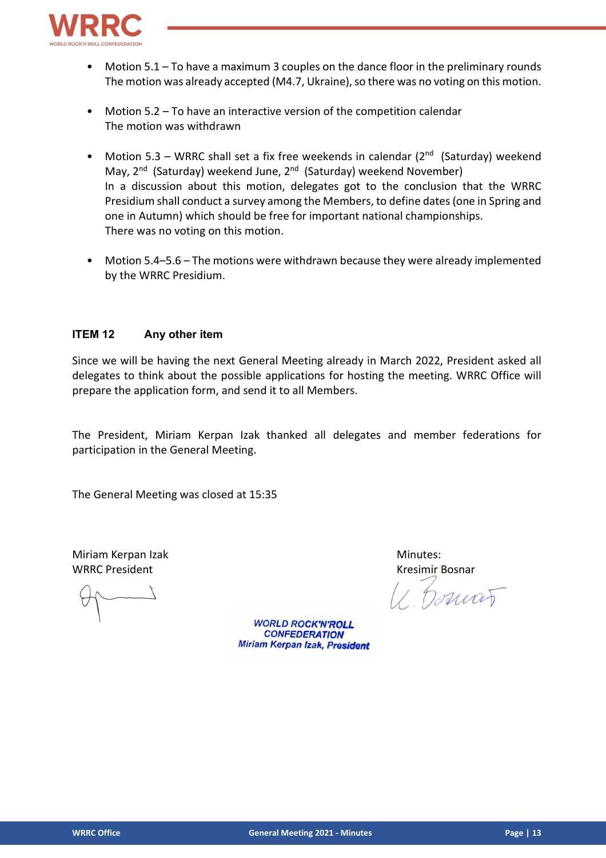

- Motion  $5.1$  To have a maximum 3 couples on the dance floor in the preliminary rounds The motion was already accepted (M4.7, Ukraine), so there was no voting on this motion.
- Motion 5.2 To have an interactive version of the competition calendar The motion was withdrawn
- Motion 5.3 WRRC shall set a fix free weekends in calendar ( $2<sup>nd</sup>$  (Saturday) weekend May, 2<sup>nd</sup> (Saturday) weekend June, 2<sup>nd</sup> (Saturday) weekend November) In a discussion about this motion, delegates got to the conclusion that the WRRC Presidium shall conduct a survey among the Members, to define dates (one in Spring and one in Autumn) which should be free for important national championships. There was no voting on this motion.
- Motion 5.4–5.6 The motions were withdrawn because they were already implemented by the WRRC Presidium.

#### **ITEM 12 Any other item**

Since we will be having the next General Meeting already in March 2022, President asked all delegates to think about the possible applications for hosting the meeting. WRRC Office will prepare the application form, and send it to all Members.

The President, Miriam Kerpan Izak thanked all delegates and member federations for participation in the General Meeting.

The General Meeting was closed at 15:35

Miriam Kerpan Izak Minutes: WRRC President No. 2006 12:00 No. 2010 12:00 No. 2010 12:00 No. 2010 12:00 No. 2010 12:00 No. 2010 12:00 No. 2010 12:00 No. 2010 12:00 No. 2010 12:00 No. 2010 12:00 No. 2010 12:00 No. 2010 12:00 No. 2010 12:00 No. 2010 12:

Domat

**WORLD ROCK'N'ROLL CONFEDERATION Miriam Kerpan Izak, President**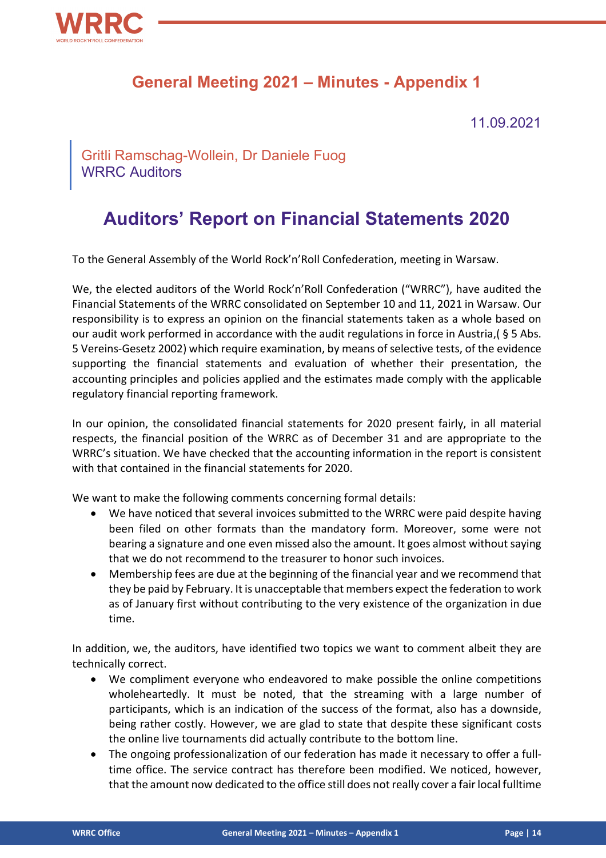

### **General Meeting 2021 – Minutes - Appendix 1**

11.09.2021

Gritli Ramschag-Wollein, Dr Daniele Fuog WRRC Auditors

## **Auditors' Report on Financial Statements 2020**

To the General Assembly of the World Rock'n'Roll Confederation, meeting in Warsaw.

We, the elected auditors of the World Rock'n'Roll Confederation ("WRRC"), have audited the Financial Statements of the WRRC consolidated on September 10 and 11, 2021 in Warsaw. Our responsibility is to express an opinion on the financial statements taken as a whole based on our audit work performed in accordance with the audit regulations in force in Austria,( § 5 Abs. 5 Vereins-Gesetz 2002) which require examination, by means of selective tests, of the evidence supporting the financial statements and evaluation of whether their presentation, the accounting principles and policies applied and the estimates made comply with the applicable regulatory financial reporting framework.

In our opinion, the consolidated financial statements for 2020 present fairly, in all material respects, the financial position of the WRRC as of December 31 and are appropriate to the WRRC's situation. We have checked that the accounting information in the report is consistent with that contained in the financial statements for 2020.

We want to make the following comments concerning formal details:

- We have noticed that several invoices submitted to the WRRC were paid despite having been filed on other formats than the mandatory form. Moreover, some were not bearing a signature and one even missed also the amount. It goes almost without saying that we do not recommend to the treasurer to honor such invoices.
- Membership fees are due at the beginning of the financial year and we recommend that they be paid by February. It is unacceptable that members expect the federation to work as of January first without contributing to the very existence of the organization in due time.

In addition, we, the auditors, have identified two topics we want to comment albeit they are technically correct.

- We compliment everyone who endeavored to make possible the online competitions wholeheartedly. It must be noted, that the streaming with a large number of participants, which is an indication of the success of the format, also has a downside, being rather costly. However, we are glad to state that despite these significant costs the online live tournaments did actually contribute to the bottom line.
- The ongoing professionalization of our federation has made it necessary to offer a fulltime office. The service contract has therefore been modified. We noticed, however, that the amount now dedicated to the office still does not really cover a fair local fulltime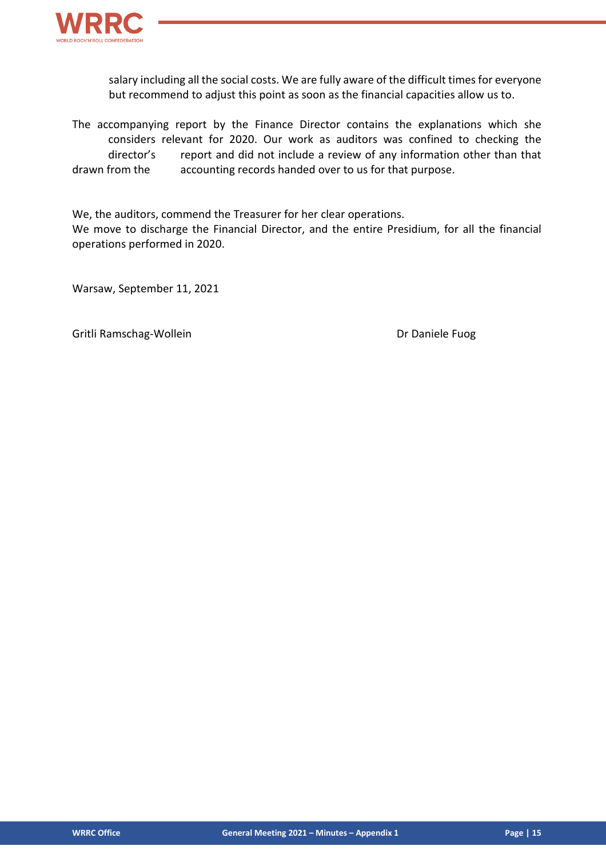

salary including all the social costs. We are fully aware of the difficult times for everyone but recommend to adjust this point as soon as the financial capacities allow us to.

The accompanying report by the Finance Director contains the explanations which she considers relevant for 2020. Our work as auditors was confined to checking the director's report and did not include a review of any information other than that drawn from the accounting records handed over to us for that purpose.

We, the auditors, commend the Treasurer for her clear operations.

We move to discharge the Financial Director, and the entire Presidium, for all the financial operations performed in 2020.

Warsaw, September 11, 2021

Gritli Ramschag-Wollein **Dr Daniele Fuog**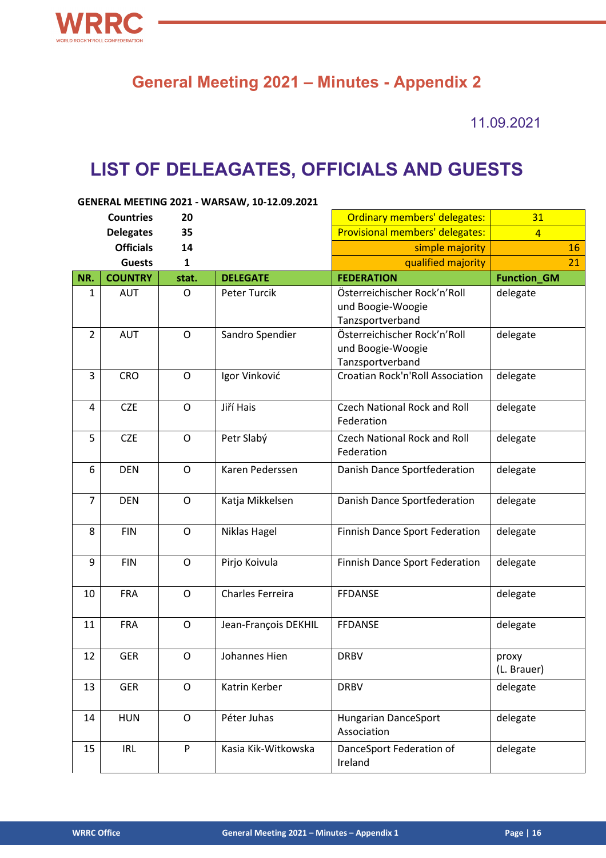

## **General Meeting 2021 – Minutes - Appendix 2**

11.09.2021

# **LIST OF DELEAGATES, OFFICIALS AND GUESTS**

| GENERAL MEETING 2021 - WARSAW, 10-12.09.2021 |                  |              |                      |                                                                       |                      |  |
|----------------------------------------------|------------------|--------------|----------------------|-----------------------------------------------------------------------|----------------------|--|
|                                              | <b>Countries</b> | 20           |                      | Ordinary members' delegates:                                          | 31                   |  |
|                                              | <b>Delegates</b> | 35           |                      | Provisional members' delegates:                                       | $\overline{4}$       |  |
|                                              | <b>Officials</b> | 14           |                      | simple majority                                                       | 16                   |  |
|                                              | <b>Guests</b>    | $\mathbf{1}$ |                      | qualified majority                                                    | 21                   |  |
| NR.                                          | <b>COUNTRY</b>   | stat.        | <b>DELEGATE</b>      | <b>FEDERATION</b>                                                     | <b>Function_GM</b>   |  |
| $\mathbf{1}$                                 | <b>AUT</b>       | O            | Peter Turcik         | Österreichischer Rock'n'Roll<br>und Boogie-Woogie<br>Tanzsportverband | delegate             |  |
| $\overline{2}$                               | <b>AUT</b>       | $\mathsf{O}$ | Sandro Spendier      | Österreichischer Rock'n'Roll<br>und Boogie-Woogie<br>Tanzsportverband | delegate             |  |
| 3                                            | <b>CRO</b>       | $\mathsf{O}$ | Igor Vinković        | Croatian Rock'n'Roll Association                                      | delegate             |  |
| 4                                            | <b>CZE</b>       | $\mathsf O$  | Jiří Hais            | <b>Czech National Rock and Roll</b><br>Federation                     | delegate             |  |
| 5                                            | <b>CZE</b>       | $\mathsf{O}$ | Petr Slabý           | <b>Czech National Rock and Roll</b><br>Federation                     | delegate             |  |
| 6                                            | <b>DEN</b>       | $\mathsf{O}$ | Karen Pederssen      | Danish Dance Sportfederation                                          | delegate             |  |
| 7                                            | <b>DEN</b>       | $\mathsf{O}$ | Katja Mikkelsen      | Danish Dance Sportfederation                                          | delegate             |  |
| 8                                            | <b>FIN</b>       | $\mathsf{O}$ | Niklas Hagel         | Finnish Dance Sport Federation                                        | delegate             |  |
| 9                                            | <b>FIN</b>       | $\mathsf{O}$ | Pirjo Koivula        | Finnish Dance Sport Federation                                        | delegate             |  |
| 10                                           | <b>FRA</b>       | $\mathsf{O}$ | Charles Ferreira     | <b>FFDANSE</b>                                                        | delegate             |  |
| 11                                           | <b>FRA</b>       | $\mathsf{O}$ | Jean-François DEKHIL | <b>FFDANSE</b>                                                        | delegate             |  |
| 12                                           | GER              | O            | Johannes Hien        | <b>DRBV</b>                                                           | proxy<br>(L. Brauer) |  |
| 13                                           | <b>GER</b>       | $\mathsf O$  | Katrin Kerber        | <b>DRBV</b>                                                           | delegate             |  |
| 14                                           | <b>HUN</b>       | $\mathsf O$  | Péter Juhas          | Hungarian DanceSport<br>Association                                   | delegate             |  |
| 15                                           | <b>IRL</b>       | P            | Kasia Kik-Witkowska  | DanceSport Federation of<br>Ireland                                   | delegate             |  |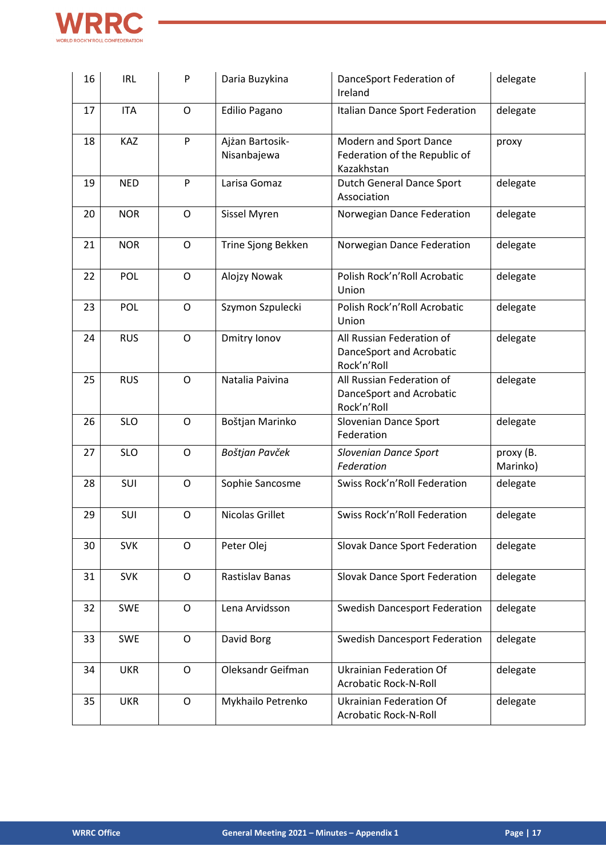

| 16 | <b>IRL</b> | P            | Daria Buzykina                 | DanceSport Federation of<br>Ireland                                   | delegate              |
|----|------------|--------------|--------------------------------|-----------------------------------------------------------------------|-----------------------|
| 17 | <b>ITA</b> | O            | <b>Edilio Pagano</b>           | Italian Dance Sport Federation                                        | delegate              |
| 18 | KAZ        | ${\sf P}$    | Ajżan Bartosik-<br>Nisanbajewa | Modern and Sport Dance<br>Federation of the Republic of<br>Kazakhstan | proxy                 |
| 19 | <b>NED</b> | P            | Larisa Gomaz                   | <b>Dutch General Dance Sport</b><br>Association                       | delegate              |
| 20 | <b>NOR</b> | $\mathsf O$  | Sissel Myren                   | Norwegian Dance Federation                                            | delegate              |
| 21 | <b>NOR</b> | O            | Trine Sjong Bekken             | Norwegian Dance Federation                                            | delegate              |
| 22 | POL        | O            | Alojzy Nowak                   | Polish Rock'n'Roll Acrobatic<br>Union                                 | delegate              |
| 23 | POL        | $\mathsf{O}$ | Szymon Szpulecki               | Polish Rock'n'Roll Acrobatic<br>Union                                 | delegate              |
| 24 | <b>RUS</b> | $\mathsf{O}$ | Dmitry Ionov                   | All Russian Federation of<br>DanceSport and Acrobatic<br>Rock'n'Roll  | delegate              |
| 25 | <b>RUS</b> | $\mathsf{O}$ | Natalia Paivina                | All Russian Federation of<br>DanceSport and Acrobatic<br>Rock'n'Roll  | delegate              |
| 26 | <b>SLO</b> | $\mathsf{O}$ | Boštjan Marinko                | Slovenian Dance Sport<br>Federation                                   | delegate              |
| 27 | <b>SLO</b> | O            | Boštjan Pavček                 | Slovenian Dance Sport<br>Federation                                   | proxy (B.<br>Marinko) |
| 28 | SUI        | $\circ$      | Sophie Sancosme                | Swiss Rock'n'Roll Federation                                          | delegate              |
| 29 | SUI        | $\mathsf{O}$ | Nicolas Grillet                | Swiss Rock'n'Roll Federation                                          | delegate              |
| 30 | <b>SVK</b> | $\mathsf{O}$ | Peter Olej                     | Slovak Dance Sport Federation                                         | delegate              |
| 31 | <b>SVK</b> | $\mathsf O$  | Rastislav Banas                | Slovak Dance Sport Federation                                         | delegate              |
| 32 | <b>SWE</b> | $\mathsf{O}$ | Lena Arvidsson                 | <b>Swedish Dancesport Federation</b>                                  | delegate              |
| 33 | <b>SWE</b> | O            | David Borg                     | <b>Swedish Dancesport Federation</b>                                  | delegate              |
| 34 | <b>UKR</b> | $\mathsf{O}$ | Oleksandr Geifman              | <b>Ukrainian Federation Of</b><br><b>Acrobatic Rock-N-Roll</b>        | delegate              |
| 35 | <b>UKR</b> | $\mathsf O$  | Mykhailo Petrenko              | <b>Ukrainian Federation Of</b><br>Acrobatic Rock-N-Roll               | delegate              |